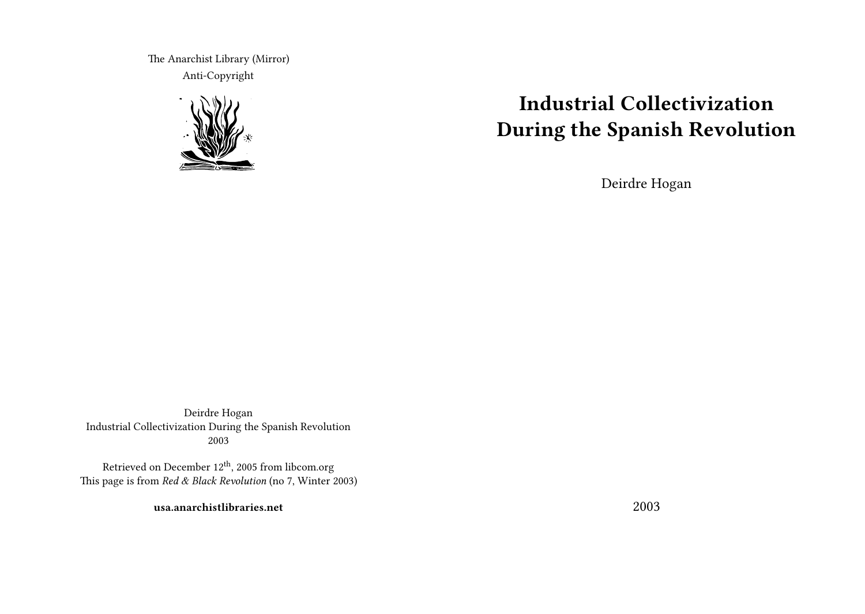The Anarchist Library (Mirror) Anti-Copyright



# **Industrial Collectivization During the Spanish Revolution**

Deirdre Hogan

Deirdre Hogan Industrial Collectivization During the Spanish Revolution 2003

Retrieved on December 12th, 2005 from libcom.org This page is from *Red & Black Revolution* (no 7, Winter 2003)

**usa.anarchistlibraries.net**

2003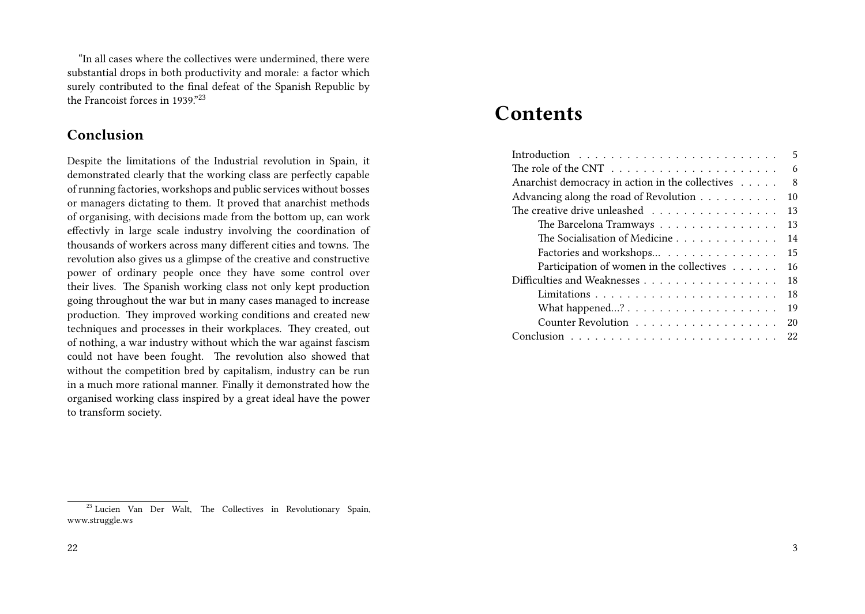"In all cases where the collectives were undermined, there were substantial drops in both productivity and morale: a factor which surely contributed to the final defeat of the Spanish Republic by the Francoist forces in 1939."<sup>23</sup>

### **Conclusion**

Despite the limitations of the Industrial revolution in Spain, it demonstrated clearly that the working class are perfectly capable of running factories, workshops and public services without bosses or managers dictating to them. It proved that anarchist methods of organising, with decisions made from the bottom up, can work effectivly in large scale industry involving the coordination of thousands of workers across many different cities and towns. The revolution also gives us a glimpse of the creative and constructive power of ordinary people once they have some control over their lives. The Spanish working class not only kept production going throughout the war but in many cases managed to increase production. They improved working conditions and created new techniques and processes in their workplaces. They created, out of nothing, a war industry without which the war against fascism could not have been fought. The revolution also showed that without the competition bred by capitalism, industry can be run in a much more rational manner. Finally it demonstrated how the organised working class inspired by a great ideal have the power to transform society.

## **Contents**

|                                                                                        | 5  |
|----------------------------------------------------------------------------------------|----|
| The role of the CNT $\dots \dots \dots \dots \dots \dots \dots \dots$                  | 6  |
| Anarchist democracy in action in the collectives                                       | -8 |
| Advancing along the road of Revolution                                                 | 10 |
| The creative drive unleashed                                                           | 13 |
| The Barcelona Tramways                                                                 | 13 |
| The Socialisation of Medicine                                                          | 14 |
| Factories and workshops                                                                | 15 |
| Participation of women in the collectives $\dots \dots$                                | 16 |
|                                                                                        | 18 |
|                                                                                        | 18 |
| What happened? $\ldots$ $\ldots$ $\ldots$ $\ldots$ $\ldots$ $\ldots$ $\ldots$ $\ldots$ | 19 |
| Counter Revolution                                                                     | 20 |
| $Conclusion \dots \dots \dots \dots \dots \dots \dots \dots \dots \dots \dots$         | 22 |
|                                                                                        |    |

<sup>&</sup>lt;sup>23</sup> Lucien Van Der Walt, The Collectives in Revolutionary Spain, www.struggle.ws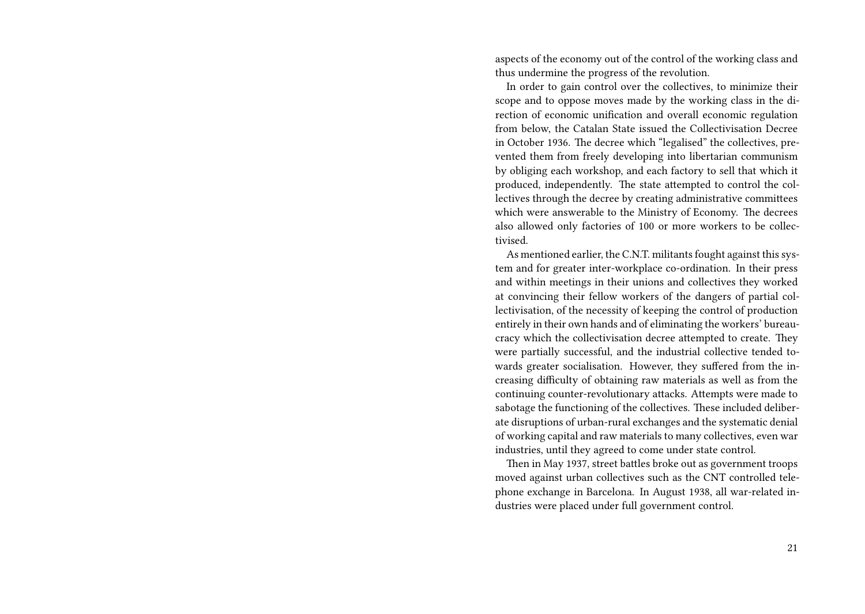aspects of the economy out of the control of the working class and thus undermine the progress of the revolution.

In order to gain control over the collectives, to minimize their scope and to oppose moves made by the working class in the direction of economic unification and overall economic regulation from below, the Catalan State issued the Collectivisation Decree in October 1936. The decree which "legalised" the collectives, prevented them from freely developing into libertarian communism by obliging each workshop, and each factory to sell that which it produced, independently. The state attempted to control the collectives through the decree by creating administrative committees which were answerable to the Ministry of Economy. The decrees also allowed only factories of 100 or more workers to be collectivised.

As mentioned earlier, the C.N.T. militants fought against this system and for greater inter-workplace co-ordination. In their press and within meetings in their unions and collectives they worked at convincing their fellow workers of the dangers of partial collectivisation, of the necessity of keeping the control of production entirely in their own hands and of eliminating the workers' bureaucracy which the collectivisation decree attempted to create. They were partially successful, and the industrial collective tended towards greater socialisation. However, they suffered from the increasing difficulty of obtaining raw materials as well as from the continuing counter-revolutionary attacks. Attempts were made to sabotage the functioning of the collectives. These included deliberate disruptions of urban-rural exchanges and the systematic denial of working capital and raw materials to many collectives, even war industries, until they agreed to come under state control.

Then in May 1937, street battles broke out as government troops moved against urban collectives such as the CNT controlled telephone exchange in Barcelona. In August 1938, all war-related industries were placed under full government control.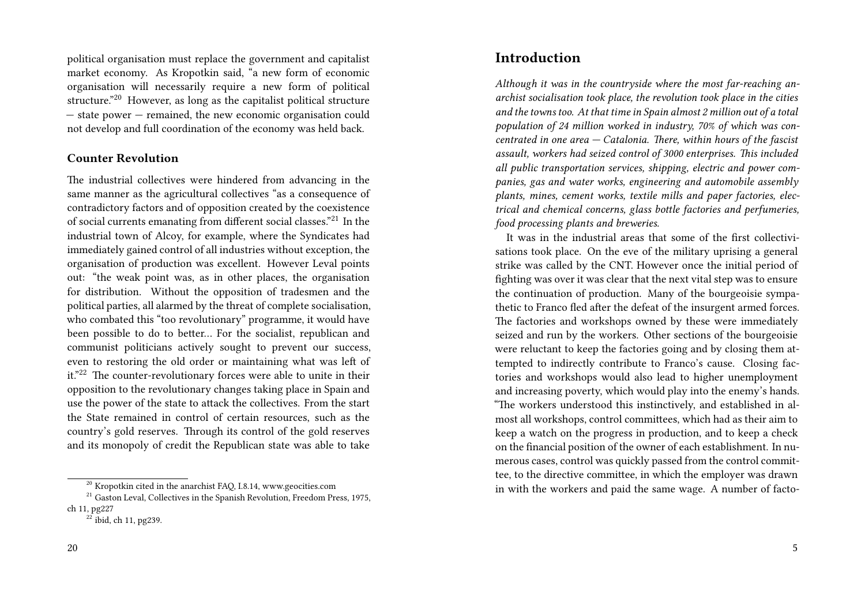political organisation must replace the government and capitalist market economy. As Kropotkin said, "a new form of economic organisation will necessarily require a new form of political structure."<sup>20</sup> However, as long as the capitalist political structure — state power — remained, the new economic organisation could not develop and full coordination of the economy was held back.

#### **Counter Revolution**

The industrial collectives were hindered from advancing in the same manner as the agricultural collectives "as a consequence of contradictory factors and of opposition created by the coexistence of social currents emanating from different social classes."<sup>21</sup> In the industrial town of Alcoy, for example, where the Syndicates had immediately gained control of all industries without exception, the organisation of production was excellent. However Leval points out: "the weak point was, as in other places, the organisation for distribution. Without the opposition of tradesmen and the political parties, all alarmed by the threat of complete socialisation, who combated this "too revolutionary" programme, it would have been possible to do to better… For the socialist, republican and communist politicians actively sought to prevent our success, even to restoring the old order or maintaining what was left of it."<sup>22</sup> The counter-revolutionary forces were able to unite in their opposition to the revolutionary changes taking place in Spain and use the power of the state to attack the collectives. From the start the State remained in control of certain resources, such as the country's gold reserves. Through its control of the gold reserves and its monopoly of credit the Republican state was able to take

### **Introduction**

*Although it was in the countryside where the most far-reaching anarchist socialisation took place, the revolution took place in the cities and the towns too. At that time in Spain almost 2 million out of a total population of 24 million worked in industry, 70% of which was concentrated in one area — Catalonia. There, within hours of the fascist assault, workers had seized control of 3000 enterprises. This included all public transportation services, shipping, electric and power companies, gas and water works, engineering and automobile assembly plants, mines, cement works, textile mills and paper factories, electrical and chemical concerns, glass bottle factories and perfumeries, food processing plants and breweries.*

It was in the industrial areas that some of the first collectivisations took place. On the eve of the military uprising a general strike was called by the CNT. However once the initial period of fighting was over it was clear that the next vital step was to ensure the continuation of production. Many of the bourgeoisie sympathetic to Franco fled after the defeat of the insurgent armed forces. The factories and workshops owned by these were immediately seized and run by the workers. Other sections of the bourgeoisie were reluctant to keep the factories going and by closing them attempted to indirectly contribute to Franco's cause. Closing factories and workshops would also lead to higher unemployment and increasing poverty, which would play into the enemy's hands. "The workers understood this instinctively, and established in almost all workshops, control committees, which had as their aim to keep a watch on the progress in production, and to keep a check on the financial position of the owner of each establishment. In numerous cases, control was quickly passed from the control committee, to the directive committee, in which the employer was drawn in with the workers and paid the same wage. A number of facto-

 $20$  Kropotkin cited in the anarchist FAQ, I.8.14, www.geocities.com

 $21$  Gaston Leval, Collectives in the Spanish Revolution, Freedom Press, 1975, ch 11, pg227

 $22$  ibid, ch 11, pg239.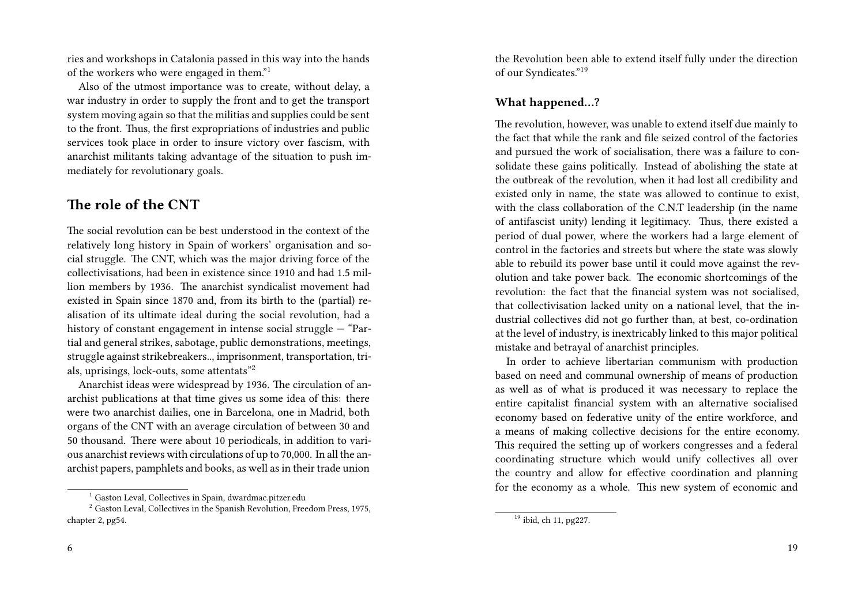ries and workshops in Catalonia passed in this way into the hands of the workers who were engaged in them."<sup>1</sup>

Also of the utmost importance was to create, without delay, a war industry in order to supply the front and to get the transport system moving again so that the militias and supplies could be sent to the front. Thus, the first expropriations of industries and public services took place in order to insure victory over fascism, with anarchist militants taking advantage of the situation to push immediately for revolutionary goals.

### **The role of the CNT**

The social revolution can be best understood in the context of the relatively long history in Spain of workers' organisation and social struggle. The CNT, which was the major driving force of the collectivisations, had been in existence since 1910 and had 1.5 million members by 1936. The anarchist syndicalist movement had existed in Spain since 1870 and, from its birth to the (partial) realisation of its ultimate ideal during the social revolution, had a history of constant engagement in intense social struggle — "Partial and general strikes, sabotage, public demonstrations, meetings, struggle against strikebreakers.., imprisonment, transportation, trials, uprisings, lock-outs, some attentats"<sup>2</sup>

Anarchist ideas were widespread by 1936. The circulation of anarchist publications at that time gives us some idea of this: there were two anarchist dailies, one in Barcelona, one in Madrid, both organs of the CNT with an average circulation of between 30 and 50 thousand. There were about 10 periodicals, in addition to various anarchist reviews with circulations of up to 70,000. In all the anarchist papers, pamphlets and books, as well as in their trade union

6

the Revolution been able to extend itself fully under the direction of our Syndicates."<sup>19</sup>

#### **What happened…?**

The revolution, however, was unable to extend itself due mainly to the fact that while the rank and file seized control of the factories and pursued the work of socialisation, there was a failure to consolidate these gains politically. Instead of abolishing the state at the outbreak of the revolution, when it had lost all credibility and existed only in name, the state was allowed to continue to exist, with the class collaboration of the C.N.T leadership (in the name of antifascist unity) lending it legitimacy. Thus, there existed a period of dual power, where the workers had a large element of control in the factories and streets but where the state was slowly able to rebuild its power base until it could move against the revolution and take power back. The economic shortcomings of the revolution: the fact that the financial system was not socialised, that collectivisation lacked unity on a national level, that the industrial collectives did not go further than, at best, co-ordination at the level of industry, is inextricably linked to this major political mistake and betrayal of anarchist principles.

In order to achieve libertarian communism with production based on need and communal ownership of means of production as well as of what is produced it was necessary to replace the entire capitalist financial system with an alternative socialised economy based on federative unity of the entire workforce, and a means of making collective decisions for the entire economy. This required the setting up of workers congresses and a federal coordinating structure which would unify collectives all over the country and allow for effective coordination and planning for the economy as a whole. This new system of economic and

<sup>1</sup> Gaston Leval, Collectives in Spain, dwardmac.pitzer.edu

<sup>&</sup>lt;sup>2</sup> Gaston Leval, Collectives in the Spanish Revolution, Freedom Press, 1975, chapter 2, pg54.

 $\overline{^{19}}$  ibid, ch 11, pg227.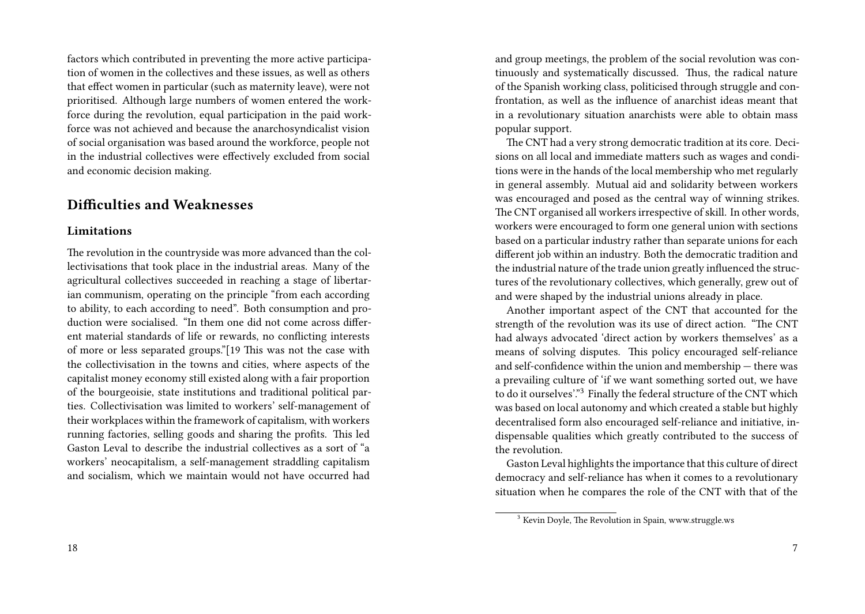factors which contributed in preventing the more active participation of women in the collectives and these issues, as well as others that effect women in particular (such as maternity leave), were not prioritised. Although large numbers of women entered the workforce during the revolution, equal participation in the paid workforce was not achieved and because the anarchosyndicalist vision of social organisation was based around the workforce, people not in the industrial collectives were effectively excluded from social and economic decision making.

### **Difficulties and Weaknesses**

#### **Limitations**

The revolution in the countryside was more advanced than the collectivisations that took place in the industrial areas. Many of the agricultural collectives succeeded in reaching a stage of libertarian communism, operating on the principle "from each according to ability, to each according to need". Both consumption and production were socialised. "In them one did not come across different material standards of life or rewards, no conflicting interests of more or less separated groups."[19 This was not the case with the collectivisation in the towns and cities, where aspects of the capitalist money economy still existed along with a fair proportion of the bourgeoisie, state institutions and traditional political parties. Collectivisation was limited to workers' self-management of their workplaces within the framework of capitalism, with workers running factories, selling goods and sharing the profits. This led Gaston Leval to describe the industrial collectives as a sort of "a workers' neocapitalism, a self-management straddling capitalism and socialism, which we maintain would not have occurred had and group meetings, the problem of the social revolution was continuously and systematically discussed. Thus, the radical nature of the Spanish working class, politicised through struggle and confrontation, as well as the influence of anarchist ideas meant that in a revolutionary situation anarchists were able to obtain mass popular support.

The CNT had a very strong democratic tradition at its core. Decisions on all local and immediate matters such as wages and conditions were in the hands of the local membership who met regularly in general assembly. Mutual aid and solidarity between workers was encouraged and posed as the central way of winning strikes. The CNT organised all workers irrespective of skill. In other words, workers were encouraged to form one general union with sections based on a particular industry rather than separate unions for each different job within an industry. Both the democratic tradition and the industrial nature of the trade union greatly influenced the structures of the revolutionary collectives, which generally, grew out of and were shaped by the industrial unions already in place.

Another important aspect of the CNT that accounted for the strength of the revolution was its use of direct action. "The CNT had always advocated 'direct action by workers themselves' as a means of solving disputes. This policy encouraged self-reliance and self-confidence within the union and membership — there was a prevailing culture of 'if we want something sorted out, we have to do it ourselves'."<sup>3</sup> Finally the federal structure of the CNT which was based on local autonomy and which created a stable but highly decentralised form also encouraged self-reliance and initiative, indispensable qualities which greatly contributed to the success of the revolution.

Gaston Leval highlights the importance that this culture of direct democracy and self-reliance has when it comes to a revolutionary situation when he compares the role of the CNT with that of the

<sup>&</sup>lt;sup>3</sup> Kevin Doyle, The Revolution in Spain, www.struggle.ws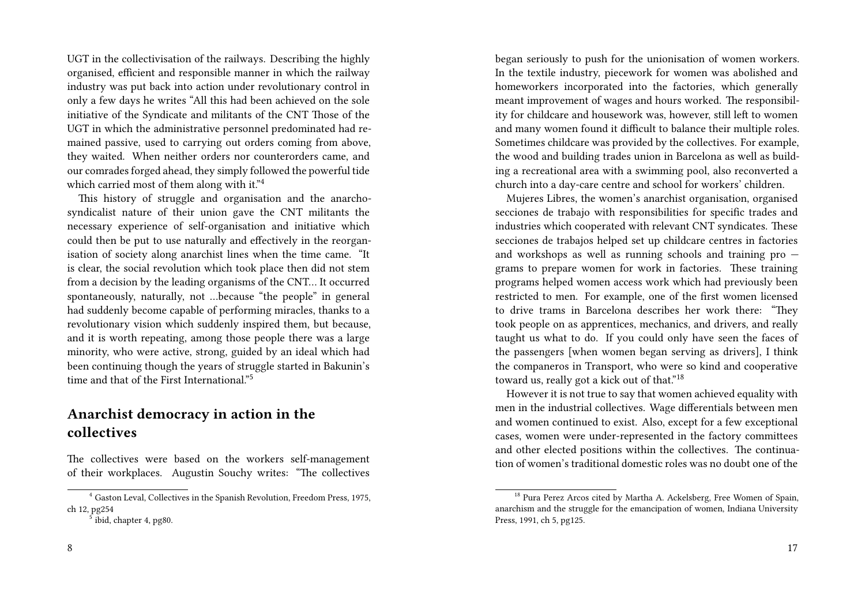UGT in the collectivisation of the railways. Describing the highly organised, efficient and responsible manner in which the railway industry was put back into action under revolutionary control in only a few days he writes "All this had been achieved on the sole initiative of the Syndicate and militants of the CNT Those of the UGT in which the administrative personnel predominated had remained passive, used to carrying out orders coming from above, they waited. When neither orders nor counterorders came, and our comrades forged ahead, they simply followed the powerful tide which carried most of them along with it."4

This history of struggle and organisation and the anarchosyndicalist nature of their union gave the CNT militants the necessary experience of self-organisation and initiative which could then be put to use naturally and effectively in the reorganisation of society along anarchist lines when the time came. "It is clear, the social revolution which took place then did not stem from a decision by the leading organisms of the CNT… It occurred spontaneously, naturally, not …because "the people" in general had suddenly become capable of performing miracles, thanks to a revolutionary vision which suddenly inspired them, but because, and it is worth repeating, among those people there was a large minority, who were active, strong, guided by an ideal which had been continuing though the years of struggle started in Bakunin's time and that of the First International."<sup>5</sup>

### **Anarchist democracy in action in the collectives**

The collectives were based on the workers self-management of their workplaces. Augustin Souchy writes: "The collectives

began seriously to push for the unionisation of women workers. In the textile industry, piecework for women was abolished and homeworkers incorporated into the factories, which generally meant improvement of wages and hours worked. The responsibility for childcare and housework was, however, still left to women and many women found it difficult to balance their multiple roles. Sometimes childcare was provided by the collectives. For example, the wood and building trades union in Barcelona as well as building a recreational area with a swimming pool, also reconverted a church into a day-care centre and school for workers' children.

Mujeres Libres, the women's anarchist organisation, organised secciones de trabajo with responsibilities for specific trades and industries which cooperated with relevant CNT syndicates. These secciones de trabajos helped set up childcare centres in factories and workshops as well as running schools and training pro grams to prepare women for work in factories. These training programs helped women access work which had previously been restricted to men. For example, one of the first women licensed to drive trams in Barcelona describes her work there: "They took people on as apprentices, mechanics, and drivers, and really taught us what to do. If you could only have seen the faces of the passengers [when women began serving as drivers], I think the companeros in Transport, who were so kind and cooperative toward us, really got a kick out of that."<sup>18</sup>

However it is not true to say that women achieved equality with men in the industrial collectives. Wage differentials between men and women continued to exist. Also, except for a few exceptional cases, women were under-represented in the factory committees and other elected positions within the collectives. The continuation of women's traditional domestic roles was no doubt one of the

<sup>4</sup> Gaston Leval, Collectives in the Spanish Revolution, Freedom Press, 1975, ch 12, pg254

<sup>&</sup>lt;sup>5</sup> ibid, chapter 4, pg80.

<sup>&</sup>lt;sup>18</sup> Pura Perez Arcos cited by Martha A. Ackelsberg, Free Women of Spain, anarchism and the struggle for the emancipation of women, Indiana University Press, 1991, ch 5, pg125.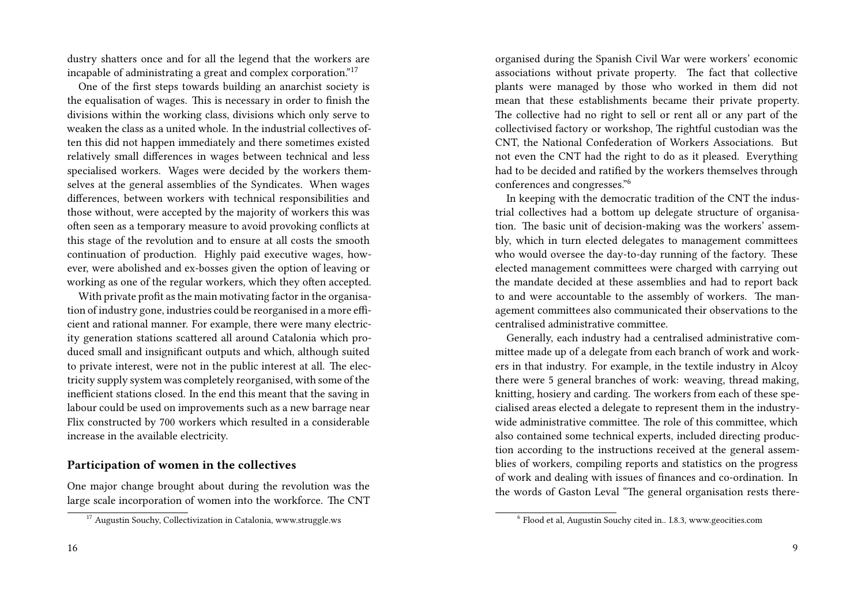dustry shatters once and for all the legend that the workers are incapable of administrating a great and complex corporation."<sup>17</sup>

One of the first steps towards building an anarchist society is the equalisation of wages. This is necessary in order to finish the divisions within the working class, divisions which only serve to weaken the class as a united whole. In the industrial collectives often this did not happen immediately and there sometimes existed relatively small differences in wages between technical and less specialised workers. Wages were decided by the workers themselves at the general assemblies of the Syndicates. When wages differences, between workers with technical responsibilities and those without, were accepted by the majority of workers this was often seen as a temporary measure to avoid provoking conflicts at this stage of the revolution and to ensure at all costs the smooth continuation of production. Highly paid executive wages, however, were abolished and ex-bosses given the option of leaving or working as one of the regular workers, which they often accepted.

With private profit as the main motivating factor in the organisation of industry gone, industries could be reorganised in a more efficient and rational manner. For example, there were many electricity generation stations scattered all around Catalonia which produced small and insignificant outputs and which, although suited to private interest, were not in the public interest at all. The electricity supply system was completely reorganised, with some of the inefficient stations closed. In the end this meant that the saving in labour could be used on improvements such as a new barrage near Flix constructed by 700 workers which resulted in a considerable increase in the available electricity.

#### **Participation of women in the collectives**

One major change brought about during the revolution was the large scale incorporation of women into the workforce. The CNT

organised during the Spanish Civil War were workers' economic associations without private property. The fact that collective plants were managed by those who worked in them did not mean that these establishments became their private property. The collective had no right to sell or rent all or any part of the collectivised factory or workshop, The rightful custodian was the CNT, the National Confederation of Workers Associations. But not even the CNT had the right to do as it pleased. Everything had to be decided and ratified by the workers themselves through conferences and congresses."<sup>6</sup>

In keeping with the democratic tradition of the CNT the industrial collectives had a bottom up delegate structure of organisation. The basic unit of decision-making was the workers' assembly, which in turn elected delegates to management committees who would oversee the day-to-day running of the factory. These elected management committees were charged with carrying out the mandate decided at these assemblies and had to report back to and were accountable to the assembly of workers. The management committees also communicated their observations to the centralised administrative committee.

Generally, each industry had a centralised administrative committee made up of a delegate from each branch of work and workers in that industry. For example, in the textile industry in Alcoy there were 5 general branches of work: weaving, thread making, knitting, hosiery and carding. The workers from each of these specialised areas elected a delegate to represent them in the industrywide administrative committee. The role of this committee, which also contained some technical experts, included directing production according to the instructions received at the general assemblies of workers, compiling reports and statistics on the progress of work and dealing with issues of finances and co-ordination. In the words of Gaston Leval "The general organisation rests there-

<sup>&</sup>lt;sup>17</sup> Augustin Souchy, Collectivization in Catalonia, www.struggle.ws

<sup>6</sup> Flood et al, Augustin Souchy cited in.. I.8.3, www.geocities.com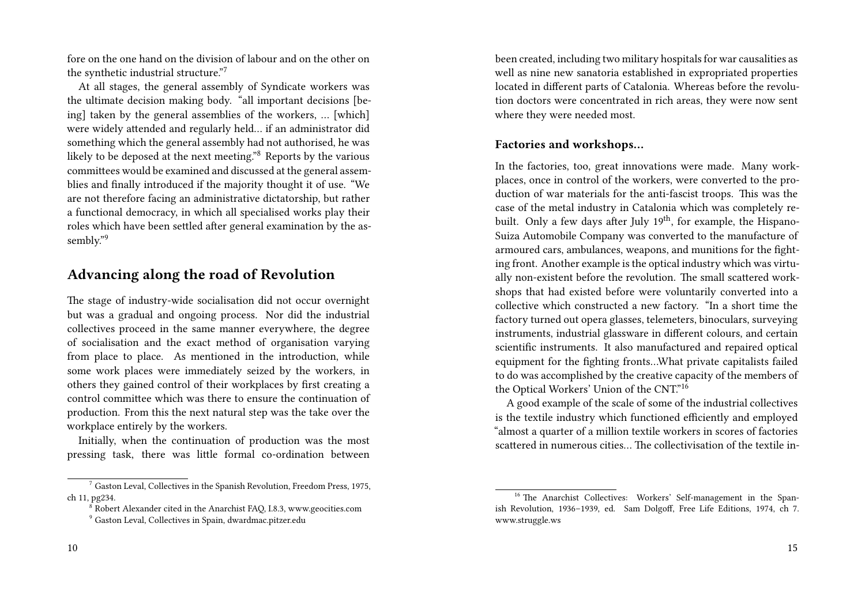fore on the one hand on the division of labour and on the other on the synthetic industrial structure."<sup>7</sup>

At all stages, the general assembly of Syndicate workers was the ultimate decision making body. "all important decisions [being] taken by the general assemblies of the workers, … [which] were widely attended and regularly held… if an administrator did something which the general assembly had not authorised, he was likely to be deposed at the next meeting."<sup>8</sup> Reports by the various committees would be examined and discussed at the general assemblies and finally introduced if the majority thought it of use. "We are not therefore facing an administrative dictatorship, but rather a functional democracy, in which all specialised works play their roles which have been settled after general examination by the assembly."<sup>9</sup>

### **Advancing along the road of Revolution**

The stage of industry-wide socialisation did not occur overnight but was a gradual and ongoing process. Nor did the industrial collectives proceed in the same manner everywhere, the degree of socialisation and the exact method of organisation varying from place to place. As mentioned in the introduction, while some work places were immediately seized by the workers, in others they gained control of their workplaces by first creating a control committee which was there to ensure the continuation of production. From this the next natural step was the take over the workplace entirely by the workers.

Initially, when the continuation of production was the most pressing task, there was little formal co-ordination between been created, including two military hospitals for war causalities as well as nine new sanatoria established in expropriated properties located in different parts of Catalonia. Whereas before the revolution doctors were concentrated in rich areas, they were now sent where they were needed most.

#### **Factories and workshops…**

In the factories, too, great innovations were made. Many workplaces, once in control of the workers, were converted to the production of war materials for the anti-fascist troops. This was the case of the metal industry in Catalonia which was completely rebuilt. Only a few days after July  $19<sup>th</sup>$ , for example, the Hispano-Suiza Automobile Company was converted to the manufacture of armoured cars, ambulances, weapons, and munitions for the fighting front. Another example is the optical industry which was virtually non-existent before the revolution. The small scattered workshops that had existed before were voluntarily converted into a collective which constructed a new factory. "In a short time the factory turned out opera glasses, telemeters, binoculars, surveying instruments, industrial glassware in different colours, and certain scientific instruments. It also manufactured and repaired optical equipment for the fighting fronts…What private capitalists failed to do was accomplished by the creative capacity of the members of the Optical Workers' Union of the CNT."<sup>16</sup>

A good example of the scale of some of the industrial collectives is the textile industry which functioned efficiently and employed "almost a quarter of a million textile workers in scores of factories scattered in numerous cities… The collectivisation of the textile in-

 $7$  Gaston Leval, Collectives in the Spanish Revolution, Freedom Press, 1975, ch 11, pg234.

 $8$  Robert Alexander cited in the Anarchist FAQ, I.8.3, www.geocities.com

<sup>9</sup> Gaston Leval, Collectives in Spain, dwardmac.pitzer.edu

<sup>&</sup>lt;sup>16</sup> The Anarchist Collectives: Workers' Self-management in the Spanish Revolution, 1936–1939, ed. Sam Dolgoff, Free Life Editions, 1974, ch 7. www.struggle.ws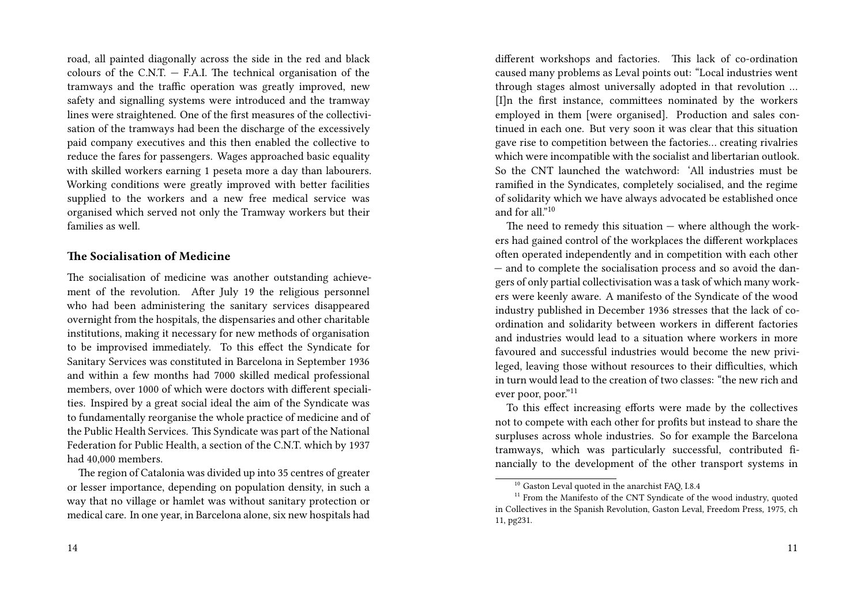road, all painted diagonally across the side in the red and black colours of the C.N.T.  $-$  F.A.I. The technical organisation of the tramways and the traffic operation was greatly improved, new safety and signalling systems were introduced and the tramway lines were straightened. One of the first measures of the collectivisation of the tramways had been the discharge of the excessively paid company executives and this then enabled the collective to reduce the fares for passengers. Wages approached basic equality with skilled workers earning 1 peseta more a day than labourers. Working conditions were greatly improved with better facilities supplied to the workers and a new free medical service was organised which served not only the Tramway workers but their families as well.

#### **The Socialisation of Medicine**

The socialisation of medicine was another outstanding achievement of the revolution. After July 19 the religious personnel who had been administering the sanitary services disappeared overnight from the hospitals, the dispensaries and other charitable institutions, making it necessary for new methods of organisation to be improvised immediately. To this effect the Syndicate for Sanitary Services was constituted in Barcelona in September 1936 and within a few months had 7000 skilled medical professional members, over 1000 of which were doctors with different specialities. Inspired by a great social ideal the aim of the Syndicate was to fundamentally reorganise the whole practice of medicine and of the Public Health Services. This Syndicate was part of the National Federation for Public Health, a section of the C.N.T. which by 1937 had 40,000 members.

The region of Catalonia was divided up into 35 centres of greater or lesser importance, depending on population density, in such a way that no village or hamlet was without sanitary protection or medical care. In one year, in Barcelona alone, six new hospitals had different workshops and factories. This lack of co-ordination caused many problems as Leval points out: "Local industries went through stages almost universally adopted in that revolution … [I]n the first instance, committees nominated by the workers employed in them [were organised]. Production and sales continued in each one. But very soon it was clear that this situation gave rise to competition between the factories… creating rivalries which were incompatible with the socialist and libertarian outlook. So the CNT launched the watchword: 'All industries must be ramified in the Syndicates, completely socialised, and the regime of solidarity which we have always advocated be established once and for all."<sup>10</sup>

The need to remedy this situation  $-$  where although the workers had gained control of the workplaces the different workplaces often operated independently and in competition with each other — and to complete the socialisation process and so avoid the dangers of only partial collectivisation was a task of which many workers were keenly aware. A manifesto of the Syndicate of the wood industry published in December 1936 stresses that the lack of coordination and solidarity between workers in different factories and industries would lead to a situation where workers in more favoured and successful industries would become the new privileged, leaving those without resources to their difficulties, which in turn would lead to the creation of two classes: "the new rich and ever poor, poor."<sup>11</sup>

To this effect increasing efforts were made by the collectives not to compete with each other for profits but instead to share the surpluses across whole industries. So for example the Barcelona tramways, which was particularly successful, contributed financially to the development of the other transport systems in

<sup>&</sup>lt;sup>10</sup> Gaston Leval quoted in the anarchist FAO, I.8.4

<sup>&</sup>lt;sup>11</sup> From the Manifesto of the CNT Syndicate of the wood industry, quoted in Collectives in the Spanish Revolution, Gaston Leval, Freedom Press, 1975, ch 11, pg231.